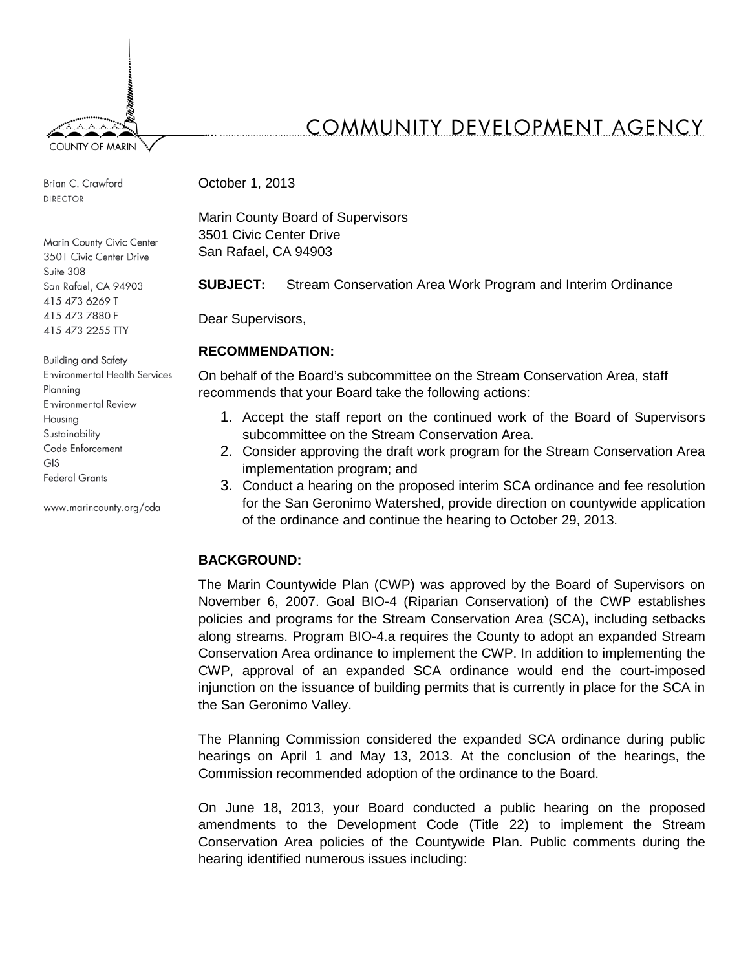

Brian C. Crawford **DIRECTOR** 

Marin County Civic Center 3501 Civic Center Drive Suite 308 San Rafael, CA 94903 415 473 6269 T 415 473 7880 F 415 473 2255 TTY

**Building and Safety Environmental Health Services** Planning **Environmental Review** Housing Sustainability Code Enforcement  $GIS$ **Federal Grants** 

www.marincounty.org/cda

# COMMUNITY DEVELOPMENT AGENCY

October 1, 2013

Marin County Board of Supervisors 3501 Civic Center Drive San Rafael, CA 94903

**SUBJECT:** Stream Conservation Area Work Program and Interim Ordinance

Dear Supervisors,

## **RECOMMENDATION:**

On behalf of the Board's subcommittee on the Stream Conservation Area, staff recommends that your Board take the following actions:

- 1. Accept the staff report on the continued work of the Board of Supervisors subcommittee on the Stream Conservation Area.
- 2. Consider approving the draft work program for the Stream Conservation Area implementation program; and
- 3. Conduct a hearing on the proposed interim SCA ordinance and fee resolution for the San Geronimo Watershed, provide direction on countywide application of the ordinance and continue the hearing to October 29, 2013.

# **BACKGROUND:**

The Marin Countywide Plan (CWP) was approved by the Board of Supervisors on November 6, 2007. Goal BIO-4 (Riparian Conservation) of the CWP establishes policies and programs for the Stream Conservation Area (SCA), including setbacks along streams. Program BIO-4.a requires the County to adopt an expanded Stream Conservation Area ordinance to implement the CWP. In addition to implementing the CWP, approval of an expanded SCA ordinance would end the court-imposed injunction on the issuance of building permits that is currently in place for the SCA in the San Geronimo Valley.

The Planning Commission considered the expanded SCA ordinance during public hearings on April 1 and May 13, 2013. At the conclusion of the hearings, the Commission recommended adoption of the ordinance to the Board.

On June 18, 2013, your Board conducted a public hearing on the proposed amendments to the Development Code (Title 22) to implement the Stream Conservation Area policies of the Countywide Plan. Public comments during the hearing identified numerous issues including: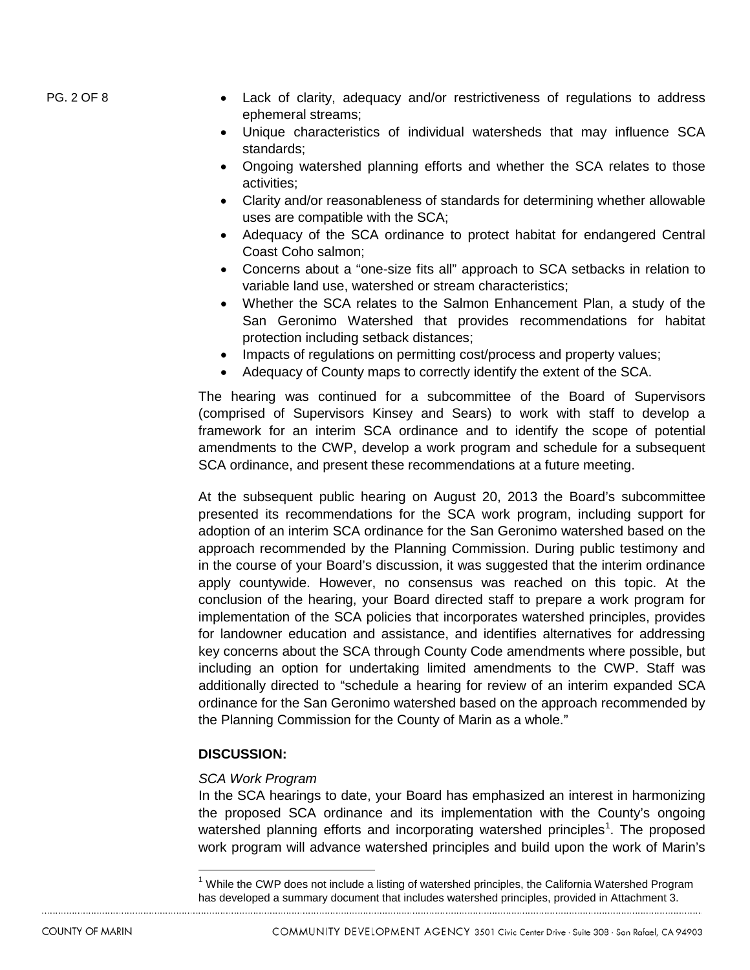- PG. 2 OF 8 Lack of clarity, adequacy and/or restrictiveness of regulations to address ephemeral streams;
	- Unique characteristics of individual watersheds that may influence SCA standards;
	- Ongoing watershed planning efforts and whether the SCA relates to those activities;
	- Clarity and/or reasonableness of standards for determining whether allowable uses are compatible with the SCA;
	- Adequacy of the SCA ordinance to protect habitat for endangered Central Coast Coho salmon;
	- Concerns about a "one-size fits all" approach to SCA setbacks in relation to variable land use, watershed or stream characteristics;
	- Whether the SCA relates to the Salmon Enhancement Plan, a study of the San Geronimo Watershed that provides recommendations for habitat protection including setback distances;
	- Impacts of regulations on permitting cost/process and property values;
	- Adequacy of County maps to correctly identify the extent of the SCA.

The hearing was continued for a subcommittee of the Board of Supervisors (comprised of Supervisors Kinsey and Sears) to work with staff to develop a framework for an interim SCA ordinance and to identify the scope of potential amendments to the CWP, develop a work program and schedule for a subsequent SCA ordinance, and present these recommendations at a future meeting.

At the subsequent public hearing on August 20, 2013 the Board's subcommittee presented its recommendations for the SCA work program, including support for adoption of an interim SCA ordinance for the San Geronimo watershed based on the approach recommended by the Planning Commission. During public testimony and in the course of your Board's discussion, it was suggested that the interim ordinance apply countywide. However, no consensus was reached on this topic. At the conclusion of the hearing, your Board directed staff to prepare a work program for implementation of the SCA policies that incorporates watershed principles, provides for landowner education and assistance, and identifies alternatives for addressing key concerns about the SCA through County Code amendments where possible, but including an option for undertaking limited amendments to the CWP. Staff was additionally directed to "schedule a hearing for review of an interim expanded SCA ordinance for the San Geronimo watershed based on the approach recommended by the Planning Commission for the County of Marin as a whole."

## **DISCUSSION:**

#### *SCA Work Program*

In the SCA hearings to date, your Board has emphasized an intere[st](#page-1-0) in harmonizing the proposed SCA ordinance and its implementation with the County's ongoing watershed planning efforts and incorporating watershed principles<sup>1</sup>. The proposed work program will advance watershed principles and build upon the work of Marin's

<span id="page-1-0"></span> $1$  While the CWP does not include a listing of watershed principles, the California Watershed Program has developed a summary document that includes watershed principles, provided in Attachment 3.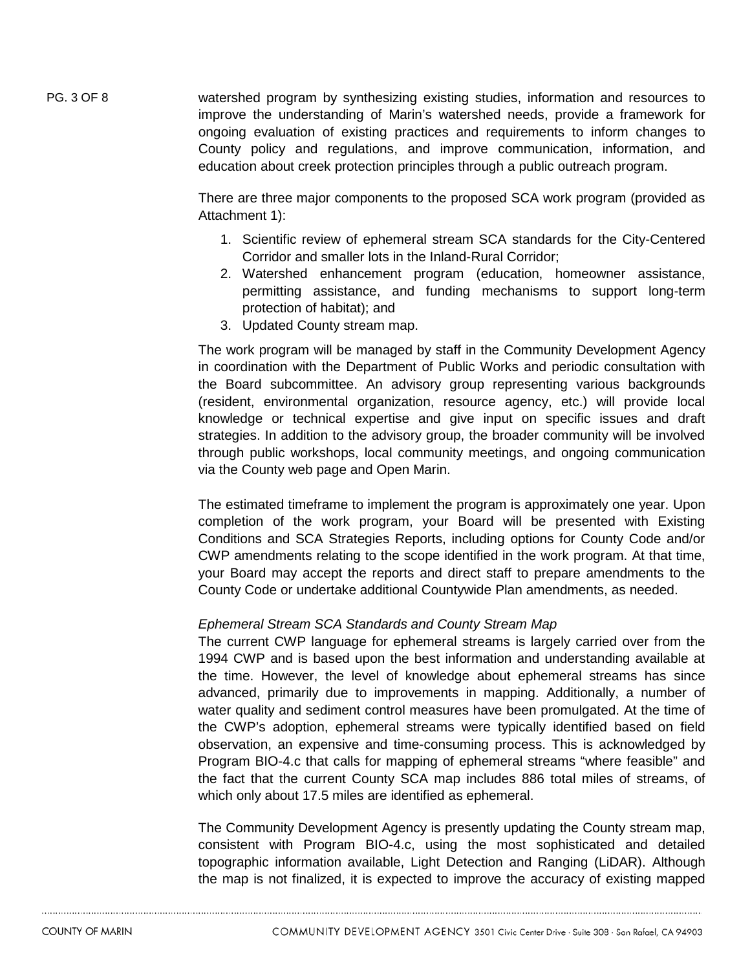PG. 3 OF 8 watershed program by synthesizing existing studies, information and resources to improve the understanding of Marin's watershed needs, provide a framework for ongoing evaluation of existing practices and requirements to inform changes to County policy and regulations, and improve communication, information, and education about creek protection principles through a public outreach program.

> There are three major components to the proposed SCA work program (provided as Attachment 1):

- 1. Scientific review of ephemeral stream SCA standards for the City-Centered Corridor and smaller lots in the Inland-Rural Corridor;
- 2. Watershed enhancement program (education, homeowner assistance, permitting assistance, and funding mechanisms to support long-term protection of habitat); and
- 3. Updated County stream map.

The work program will be managed by staff in the Community Development Agency in coordination with the Department of Public Works and periodic consultation with the Board subcommittee. An advisory group representing various backgrounds (resident, environmental organization, resource agency, etc.) will provide local knowledge or technical expertise and give input on specific issues and draft strategies. In addition to the advisory group, the broader community will be involved through public workshops, local community meetings, and ongoing communication via the County web page and Open Marin.

The estimated timeframe to implement the program is approximately one year. Upon completion of the work program, your Board will be presented with Existing Conditions and SCA Strategies Reports, including options for County Code and/or CWP amendments relating to the scope identified in the work program. At that time, your Board may accept the reports and direct staff to prepare amendments to the County Code or undertake additional Countywide Plan amendments, as needed.

#### *Ephemeral Stream SCA Standards and County Stream Map*

The current CWP language for ephemeral streams is largely carried over from the 1994 CWP and is based upon the best information and understanding available at the time. However, the level of knowledge about ephemeral streams has since advanced, primarily due to improvements in mapping. Additionally, a number of water quality and sediment control measures have been promulgated. At the time of the CWP's adoption, ephemeral streams were typically identified based on field observation, an expensive and time-consuming process. This is acknowledged by Program BIO-4.c that calls for mapping of ephemeral streams "where feasible" and the fact that the current County SCA map includes 886 total miles of streams, of which only about 17.5 miles are identified as ephemeral.

The Community Development Agency is presently updating the County stream map, consistent with Program BIO-4.c, using the most sophisticated and detailed topographic information available, Light Detection and Ranging (LiDAR). Although the map is not finalized, it is expected to improve the accuracy of existing mapped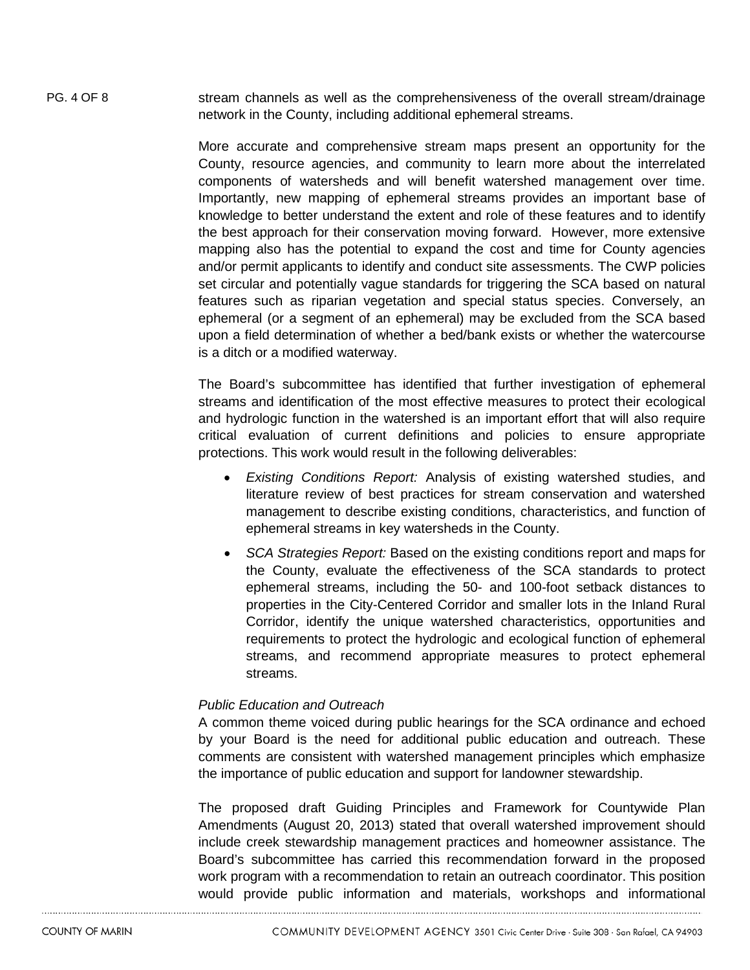PG. 4 OF 8 stream channels as well as the comprehensiveness of the overall stream/drainage network in the County, including additional ephemeral streams.

> More accurate and comprehensive stream maps present an opportunity for the County, resource agencies, and community to learn more about the interrelated components of watersheds and will benefit watershed management over time. Importantly, new mapping of ephemeral streams provides an important base of knowledge to better understand the extent and role of these features and to identify the best approach for their conservation moving forward. However, more extensive mapping also has the potential to expand the cost and time for County agencies and/or permit applicants to identify and conduct site assessments. The CWP policies set circular and potentially vague standards for triggering the SCA based on natural features such as riparian vegetation and special status species. Conversely, an ephemeral (or a segment of an ephemeral) may be excluded from the SCA based upon a field determination of whether a bed/bank exists or whether the watercourse is a ditch or a modified waterway.

> The Board's subcommittee has identified that further investigation of ephemeral streams and identification of the most effective measures to protect their ecological and hydrologic function in the watershed is an important effort that will also require critical evaluation of current definitions and policies to ensure appropriate protections. This work would result in the following deliverables:

- *Existing Conditions Report:* Analysis of existing watershed studies, and literature review of best practices for stream conservation and watershed management to describe existing conditions, characteristics, and function of ephemeral streams in key watersheds in the County.
- *SCA Strategies Report:* Based on the existing conditions report and maps for the County, evaluate the effectiveness of the SCA standards to protect ephemeral streams, including the 50- and 100-foot setback distances to properties in the City-Centered Corridor and smaller lots in the Inland Rural Corridor, identify the unique watershed characteristics, opportunities and requirements to protect the hydrologic and ecological function of ephemeral streams, and recommend appropriate measures to protect ephemeral streams.

#### *Public Education and Outreach*

A common theme voiced during public hearings for the SCA ordinance and echoed by your Board is the need for additional public education and outreach. These comments are consistent with watershed management principles which emphasize the importance of public education and support for landowner stewardship.

The proposed draft Guiding Principles and Framework for Countywide Plan Amendments (August 20, 2013) stated that overall watershed improvement should include creek stewardship management practices and homeowner assistance. The Board's subcommittee has carried this recommendation forward in the proposed work program with a recommendation to retain an outreach coordinator. This position would provide public information and materials, workshops and informational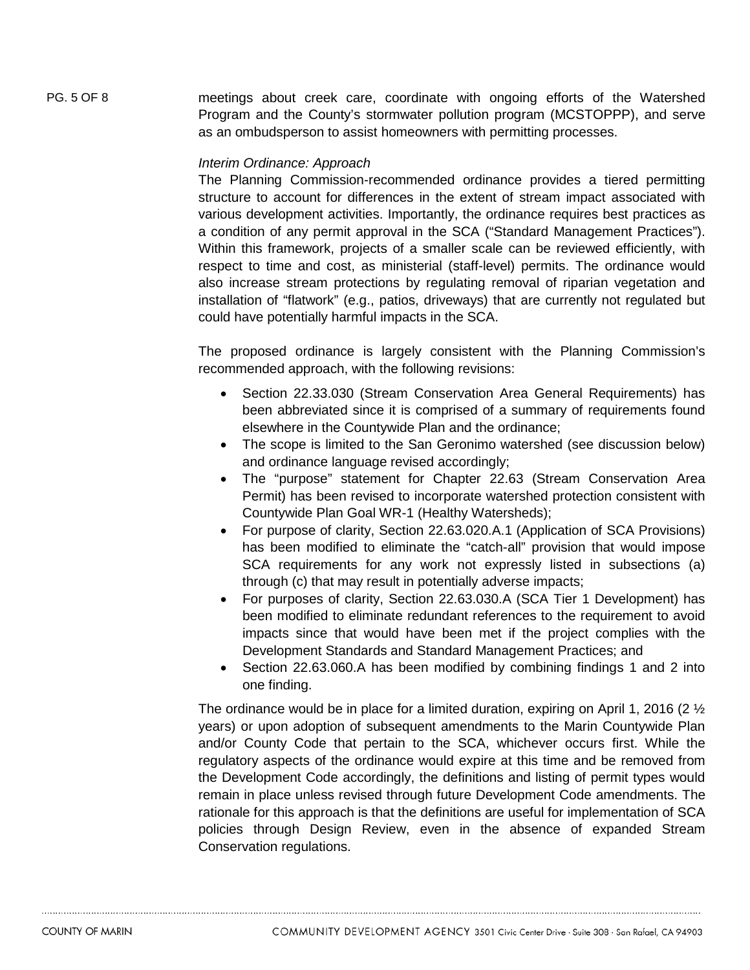PG. 5 OF 8 meetings about creek care, coordinate with ongoing efforts of the Watershed Program and the County's stormwater pollution program (MCSTOPPP), and serve as an ombudsperson to assist homeowners with permitting processes.

#### *Interim Ordinance: Approach*

The Planning Commission-recommended ordinance provides a tiered permitting structure to account for differences in the extent of stream impact associated with various development activities. Importantly, the ordinance requires best practices as a condition of any permit approval in the SCA ("Standard Management Practices"). Within this framework, projects of a smaller scale can be reviewed efficiently, with respect to time and cost, as ministerial (staff-level) permits. The ordinance would also increase stream protections by regulating removal of riparian vegetation and installation of "flatwork" (e.g., patios, driveways) that are currently not regulated but could have potentially harmful impacts in the SCA.

The proposed ordinance is largely consistent with the Planning Commission's recommended approach, with the following revisions:

- Section 22.33.030 (Stream Conservation Area General Requirements) has been abbreviated since it is comprised of a summary of requirements found elsewhere in the Countywide Plan and the ordinance;
- The scope is limited to the San Geronimo watershed (see discussion below) and ordinance language revised accordingly;
- The "purpose" statement for Chapter 22.63 (Stream Conservation Area Permit) has been revised to incorporate watershed protection consistent with Countywide Plan Goal WR-1 (Healthy Watersheds);
- For purpose of clarity, Section 22.63.020.A.1 (Application of SCA Provisions) has been modified to eliminate the "catch-all" provision that would impose SCA requirements for any work not expressly listed in subsections (a) through (c) that may result in potentially adverse impacts;
- For purposes of clarity, Section 22.63.030.A (SCA Tier 1 Development) has been modified to eliminate redundant references to the requirement to avoid impacts since that would have been met if the project complies with the Development Standards and Standard Management Practices; and
- Section 22.63.060.A has been modified by combining findings 1 and 2 into one finding.

The ordinance would be in place for a limited duration, expiring on April 1, 2016 (2  $\frac{1}{2}$ ) years) or upon adoption of subsequent amendments to the Marin Countywide Plan and/or County Code that pertain to the SCA, whichever occurs first. While the regulatory aspects of the ordinance would expire at this time and be removed from the Development Code accordingly, the definitions and listing of permit types would remain in place unless revised through future Development Code amendments. The rationale for this approach is that the definitions are useful for implementation of SCA policies through Design Review, even in the absence of expanded Stream Conservation regulations.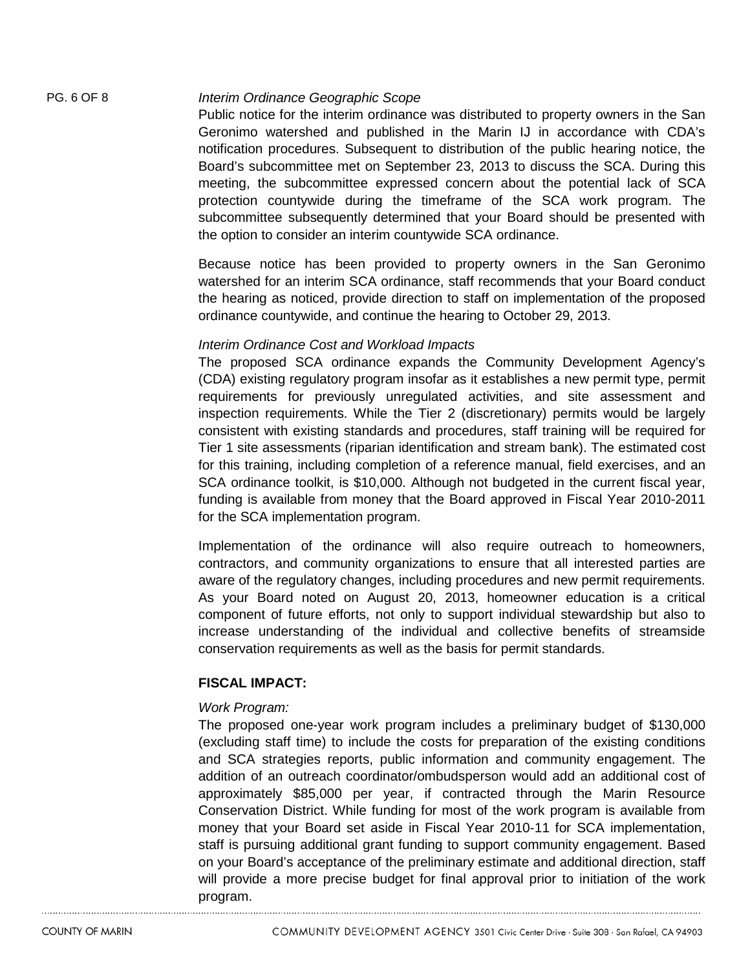### PG. 6 OF 8 *Interim Ordinance Geographic Scope*

Public notice for the interim ordinance was distributed to property owners in the San Geronimo watershed and published in the Marin IJ in accordance with CDA's notification procedures. Subsequent to distribution of the public hearing notice, the Board's subcommittee met on September 23, 2013 to discuss the SCA. During this meeting, the subcommittee expressed concern about the potential lack of SCA protection countywide during the timeframe of the SCA work program. The subcommittee subsequently determined that your Board should be presented with the option to consider an interim countywide SCA ordinance.

Because notice has been provided to property owners in the San Geronimo watershed for an interim SCA ordinance, staff recommends that your Board conduct the hearing as noticed, provide direction to staff on implementation of the proposed ordinance countywide, and continue the hearing to October 29, 2013.

## *Interim Ordinance Cost and Workload Impacts*

The proposed SCA ordinance expands the Community Development Agency's (CDA) existing regulatory program insofar as it establishes a new permit type, permit requirements for previously unregulated activities, and site assessment and inspection requirements. While the Tier 2 (discretionary) permits would be largely consistent with existing standards and procedures, staff training will be required for Tier 1 site assessments (riparian identification and stream bank). The estimated cost for this training, including completion of a reference manual, field exercises, and an SCA ordinance toolkit, is \$10,000. Although not budgeted in the current fiscal year, funding is available from money that the Board approved in Fiscal Year 2010-2011 for the SCA implementation program.

Implementation of the ordinance will also require outreach to homeowners, contractors, and community organizations to ensure that all interested parties are aware of the regulatory changes, including procedures and new permit requirements. As your Board noted on August 20, 2013, homeowner education is a critical component of future efforts, not only to support individual stewardship but also to increase understanding of the individual and collective benefits of streamside conservation requirements as well as the basis for permit standards.

## **FISCAL IMPACT:**

## *Work Program:*

The proposed one-year work program includes a preliminary budget of \$130,000 (excluding staff time) to include the costs for preparation of the existing conditions and SCA strategies reports, public information and community engagement. The addition of an outreach coordinator/ombudsperson would add an additional cost of approximately \$85,000 per year, if contracted through the Marin Resource Conservation District. While funding for most of the work program is available from money that your Board set aside in Fiscal Year 2010-11 for SCA implementation, staff is pursuing additional grant funding to support community engagement. Based on your Board's acceptance of the preliminary estimate and additional direction, staff will provide a more precise budget for final approval prior to initiation of the work program.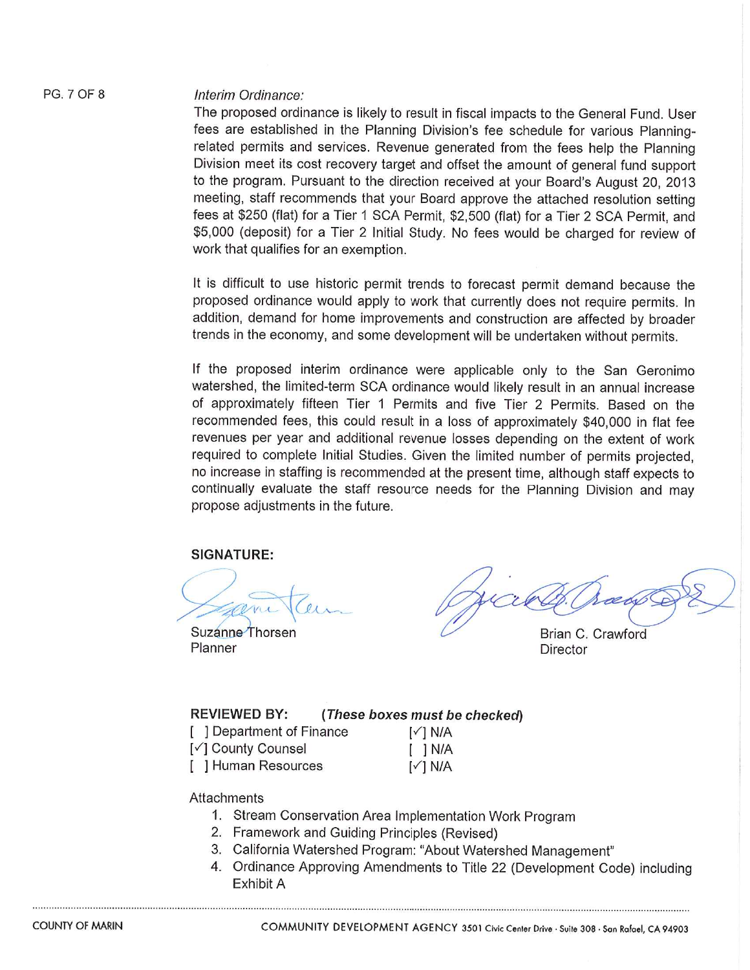**PG. 7 OF 8** 

#### Interim Ordinance:

The proposed ordinance is likely to result in fiscal impacts to the General Fund. User fees are established in the Planning Division's fee schedule for various Planningrelated permits and services. Revenue generated from the fees help the Planning Division meet its cost recovery target and offset the amount of general fund support to the program. Pursuant to the direction received at your Board's August 20, 2013 meeting, staff recommends that your Board approve the attached resolution setting fees at \$250 (flat) for a Tier 1 SCA Permit, \$2,500 (flat) for a Tier 2 SCA Permit, and \$5,000 (deposit) for a Tier 2 Initial Study. No fees would be charged for review of work that qualifies for an exemption.

It is difficult to use historic permit trends to forecast permit demand because the proposed ordinance would apply to work that currently does not require permits. In addition, demand for home improvements and construction are affected by broader trends in the economy, and some development will be undertaken without permits.

If the proposed interim ordinance were applicable only to the San Geronimo watershed, the limited-term SCA ordinance would likely result in an annual increase of approximately fifteen Tier 1 Permits and five Tier 2 Permits. Based on the recommended fees, this could result in a loss of approximately \$40,000 in flat fee revenues per year and additional revenue losses depending on the extent of work required to complete Initial Studies. Given the limited number of permits projected, no increase in staffing is recommended at the present time, although staff expects to continually evaluate the staff resource needs for the Planning Division and may propose adjustments in the future.

#### **SIGNATURE:**

Suzanne Thorsen Planner

Brian C. Crawford Director

| <b>REVIEWED BY:</b>            | (These boxes must be checked) |
|--------------------------------|-------------------------------|
| [ ] Department of Finance      | $\lceil \sqrt{ } \rceil$ N/A  |
| $1/1$ $O$ average $O$ averaged | <b>F TAIL</b>                 |

- [√] County Counsel
- [ ] Human Resources

 $[$   $]$  N/A  $\lceil \sqrt{ } \rceil$  N/A

#### Attachments

- 1. Stream Conservation Area Implementation Work Program
- 2. Framework and Guiding Principles (Revised)
- 3. California Watershed Program: "About Watershed Management"
- 4. Ordinance Approving Amendments to Title 22 (Development Code) including Exhibit A